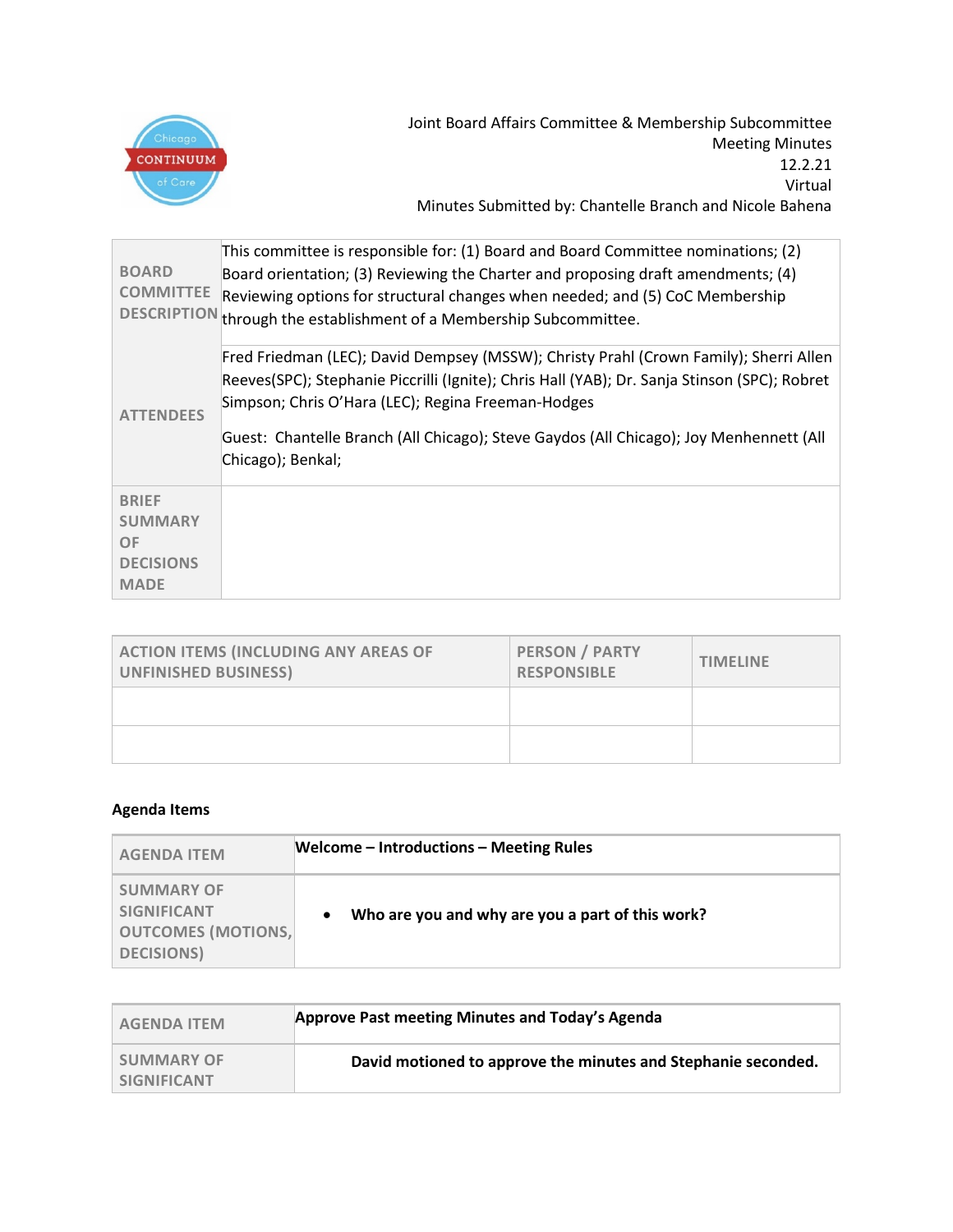

| <b>BOARD</b><br><b>COMMITTEE</b>                                               | This committee is responsible for: (1) Board and Board Committee nominations; (2)<br>Board orientation; (3) Reviewing the Charter and proposing draft amendments; (4)<br>Reviewing options for structural changes when needed; and (5) CoC Membership<br>DESCRIPTION through the establishment of a Membership Subcommittee.                               |
|--------------------------------------------------------------------------------|------------------------------------------------------------------------------------------------------------------------------------------------------------------------------------------------------------------------------------------------------------------------------------------------------------------------------------------------------------|
| <b>ATTENDEES</b>                                                               | Fred Friedman (LEC); David Dempsey (MSSW); Christy Prahl (Crown Family); Sherri Allen<br>Reeves(SPC); Stephanie Piccrilli (Ignite); Chris Hall (YAB); Dr. Sanja Stinson (SPC); Robret<br>Simpson; Chris O'Hara (LEC); Regina Freeman-Hodges<br>Guest: Chantelle Branch (All Chicago); Steve Gaydos (All Chicago); Joy Menhennett (All<br>Chicago); Benkal; |
| <b>BRIEF</b><br><b>SUMMARY</b><br><b>OF</b><br><b>DECISIONS</b><br><b>MADE</b> |                                                                                                                                                                                                                                                                                                                                                            |

| <b>ACTION ITEMS (INCLUDING ANY AREAS OF</b><br><b>UNFINISHED BUSINESS)</b> | <b>PERSON / PARTY</b><br><b>RESPONSIBLE</b> | <b>TIMELINE</b> |
|----------------------------------------------------------------------------|---------------------------------------------|-----------------|
|                                                                            |                                             |                 |
|                                                                            |                                             |                 |

## **Agenda Items**

| <b>AGENDA ITEM</b>                                                                       | <b>Welcome - Introductions - Meeting Rules</b>   |
|------------------------------------------------------------------------------------------|--------------------------------------------------|
| <b>SUMMARY OF</b><br><b>SIGNIFICANT</b><br><b>OUTCOMES (MOTIONS,</b><br><b>DECISIONS</b> | Who are you and why are you a part of this work? |

| <b>AGENDA ITEM</b>                      | Approve Past meeting Minutes and Today's Agenda               |
|-----------------------------------------|---------------------------------------------------------------|
| <b>SUMMARY OF</b><br><b>SIGNIFICANT</b> | David motioned to approve the minutes and Stephanie seconded. |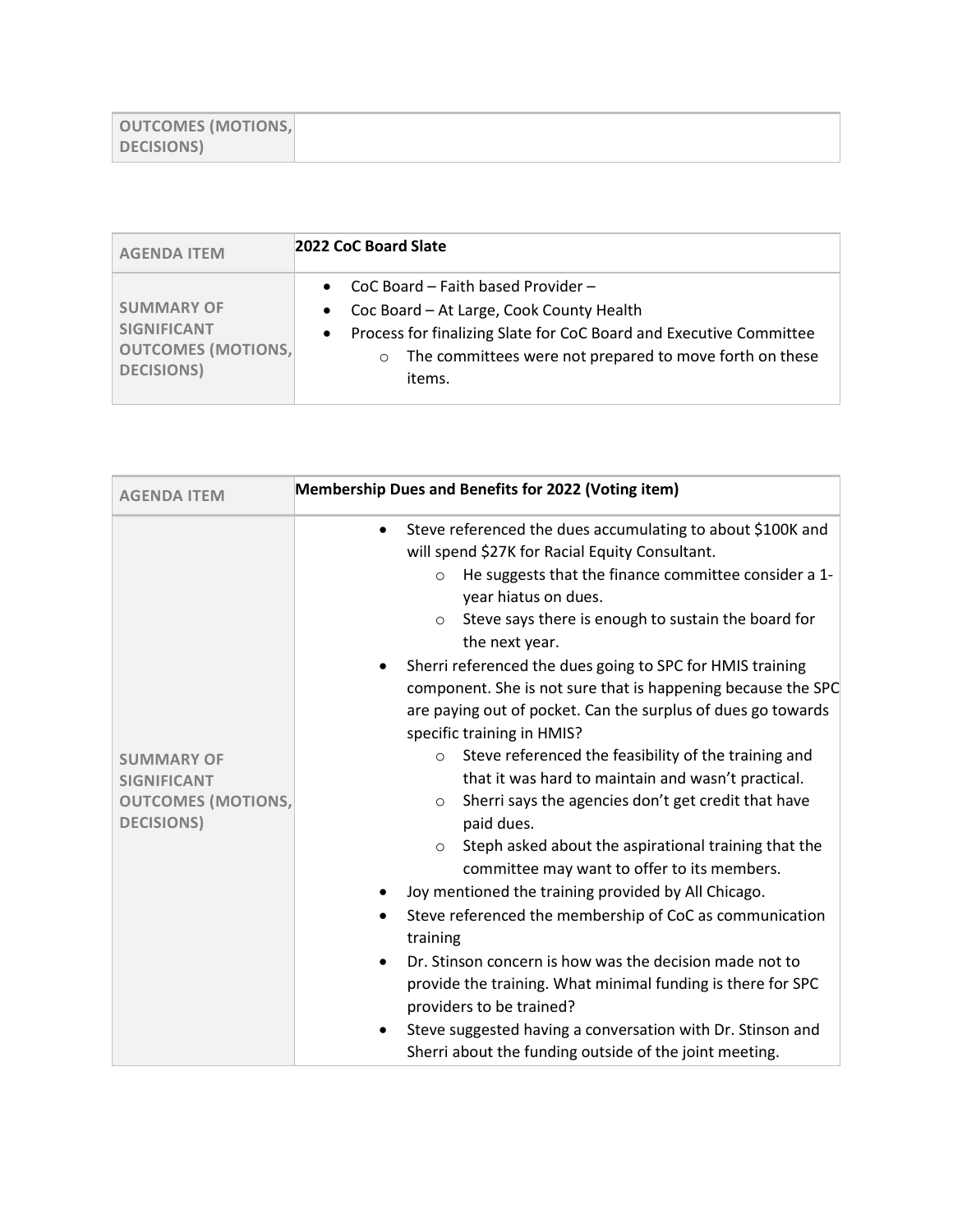| <b>OUTCOMES (MOTIONS,</b> |  |
|---------------------------|--|
| <b>DECISIONS</b>          |  |

| <b>AGENDA ITEM</b>                                                                         | 2022 CoC Board Slate                                                                                                                                                                                                                 |  |
|--------------------------------------------------------------------------------------------|--------------------------------------------------------------------------------------------------------------------------------------------------------------------------------------------------------------------------------------|--|
| <b>SUMMARY OF</b><br><b>SIGNIFICANT</b><br><b>OUTCOMES (MOTIONS,</b><br><b>DECISIONS</b> ) | CoC Board - Faith based Provider -<br>Coc Board - At Large, Cook County Health<br>Process for finalizing Slate for CoC Board and Executive Committee<br>The committees were not prepared to move forth on these<br>$\circ$<br>items. |  |

| <b>AGENDA ITEM</b>                                                                         | <b>Membership Dues and Benefits for 2022 (Voting item)</b>                                                                                                                                                                                                                                                                                                                                                                                                                                                                                                                                                                                                                                                                                                                                                                                                                                                                                                                                                                                                                                                                                                                                                                                                                                           |  |
|--------------------------------------------------------------------------------------------|------------------------------------------------------------------------------------------------------------------------------------------------------------------------------------------------------------------------------------------------------------------------------------------------------------------------------------------------------------------------------------------------------------------------------------------------------------------------------------------------------------------------------------------------------------------------------------------------------------------------------------------------------------------------------------------------------------------------------------------------------------------------------------------------------------------------------------------------------------------------------------------------------------------------------------------------------------------------------------------------------------------------------------------------------------------------------------------------------------------------------------------------------------------------------------------------------------------------------------------------------------------------------------------------------|--|
| <b>SUMMARY OF</b><br><b>SIGNIFICANT</b><br><b>OUTCOMES (MOTIONS,</b><br><b>DECISIONS</b> ) | Steve referenced the dues accumulating to about \$100K and<br>$\bullet$<br>will spend \$27K for Racial Equity Consultant.<br>He suggests that the finance committee consider a 1-<br>$\circ$<br>year hiatus on dues.<br>Steve says there is enough to sustain the board for<br>$\circ$<br>the next year.<br>Sherri referenced the dues going to SPC for HMIS training<br>component. She is not sure that is happening because the SPC<br>are paying out of pocket. Can the surplus of dues go towards<br>specific training in HMIS?<br>Steve referenced the feasibility of the training and<br>$\circ$<br>that it was hard to maintain and wasn't practical.<br>Sherri says the agencies don't get credit that have<br>$\circ$<br>paid dues.<br>Steph asked about the aspirational training that the<br>$\circ$<br>committee may want to offer to its members.<br>Joy mentioned the training provided by All Chicago.<br>Steve referenced the membership of CoC as communication<br>training<br>Dr. Stinson concern is how was the decision made not to<br>$\bullet$<br>provide the training. What minimal funding is there for SPC<br>providers to be trained?<br>Steve suggested having a conversation with Dr. Stinson and<br>$\bullet$<br>Sherri about the funding outside of the joint meeting. |  |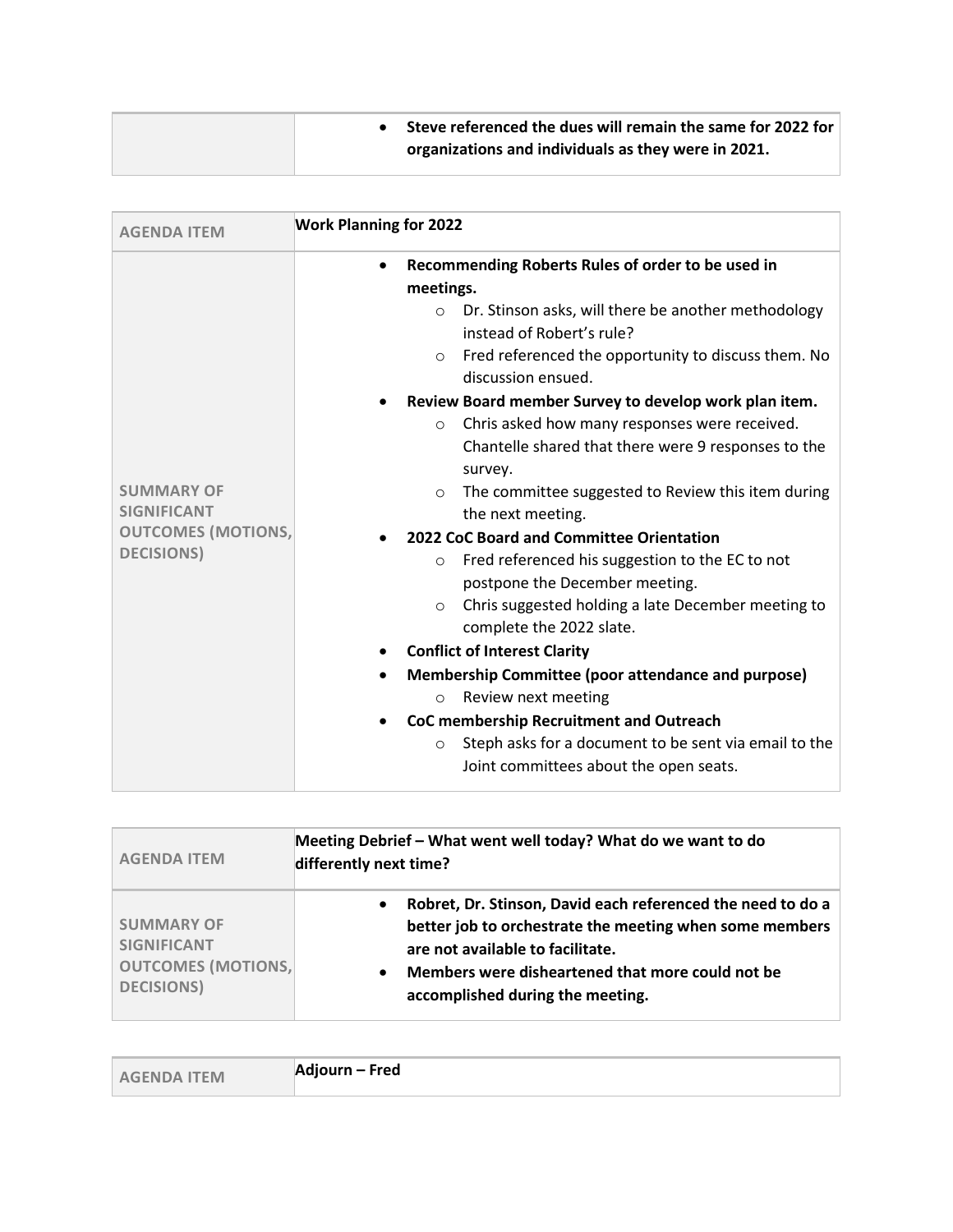|  | Steve referenced the dues will remain the same for 2022 for<br>organizations and individuals as they were in 2021. |
|--|--------------------------------------------------------------------------------------------------------------------|
|--|--------------------------------------------------------------------------------------------------------------------|

| <b>AGENDA ITEM</b>                      | <b>Work Planning for 2022</b>                                                                              |
|-----------------------------------------|------------------------------------------------------------------------------------------------------------|
|                                         | Recommending Roberts Rules of order to be used in<br>meetings.                                             |
|                                         | Dr. Stinson asks, will there be another methodology<br>$\circ$<br>instead of Robert's rule?                |
|                                         | Fred referenced the opportunity to discuss them. No<br>$\circ$<br>discussion ensued.                       |
|                                         | Review Board member Survey to develop work plan item.                                                      |
|                                         | Chris asked how many responses were received.<br>$\circ$                                                   |
|                                         | Chantelle shared that there were 9 responses to the<br>survey.                                             |
| <b>SUMMARY OF</b><br><b>SIGNIFICANT</b> | The committee suggested to Review this item during<br>$\circ$<br>the next meeting.                         |
| <b>OUTCOMES (MOTIONS,</b>               | 2022 CoC Board and Committee Orientation                                                                   |
| <b>DECISIONS</b> )                      | Fred referenced his suggestion to the EC to not<br>$\circ$<br>postpone the December meeting.               |
|                                         | Chris suggested holding a late December meeting to<br>$\circ$<br>complete the 2022 slate.                  |
|                                         | <b>Conflict of Interest Clarity</b>                                                                        |
|                                         | Membership Committee (poor attendance and purpose)                                                         |
|                                         | Review next meeting<br>$\circ$                                                                             |
|                                         | CoC membership Recruitment and Outreach                                                                    |
|                                         | Steph asks for a document to be sent via email to the<br>$\circ$<br>Joint committees about the open seats. |

| <b>AGENDA ITEM</b>                                                                         | Meeting Debrief - What went well today? What do we want to do<br>differently next time?                                                                                                                                                                                      |  |
|--------------------------------------------------------------------------------------------|------------------------------------------------------------------------------------------------------------------------------------------------------------------------------------------------------------------------------------------------------------------------------|--|
| <b>SUMMARY OF</b><br><b>SIGNIFICANT</b><br><b>OUTCOMES (MOTIONS,</b><br><b>DECISIONS</b> ) | Robret, Dr. Stinson, David each referenced the need to do a<br>$\bullet$<br>better job to orchestrate the meeting when some members<br>are not available to facilitate.<br>Members were disheartened that more could not be<br>$\bullet$<br>accomplished during the meeting. |  |

| <b>AGENDA ITEM</b> | Adjourn – Fred |
|--------------------|----------------|
|--------------------|----------------|